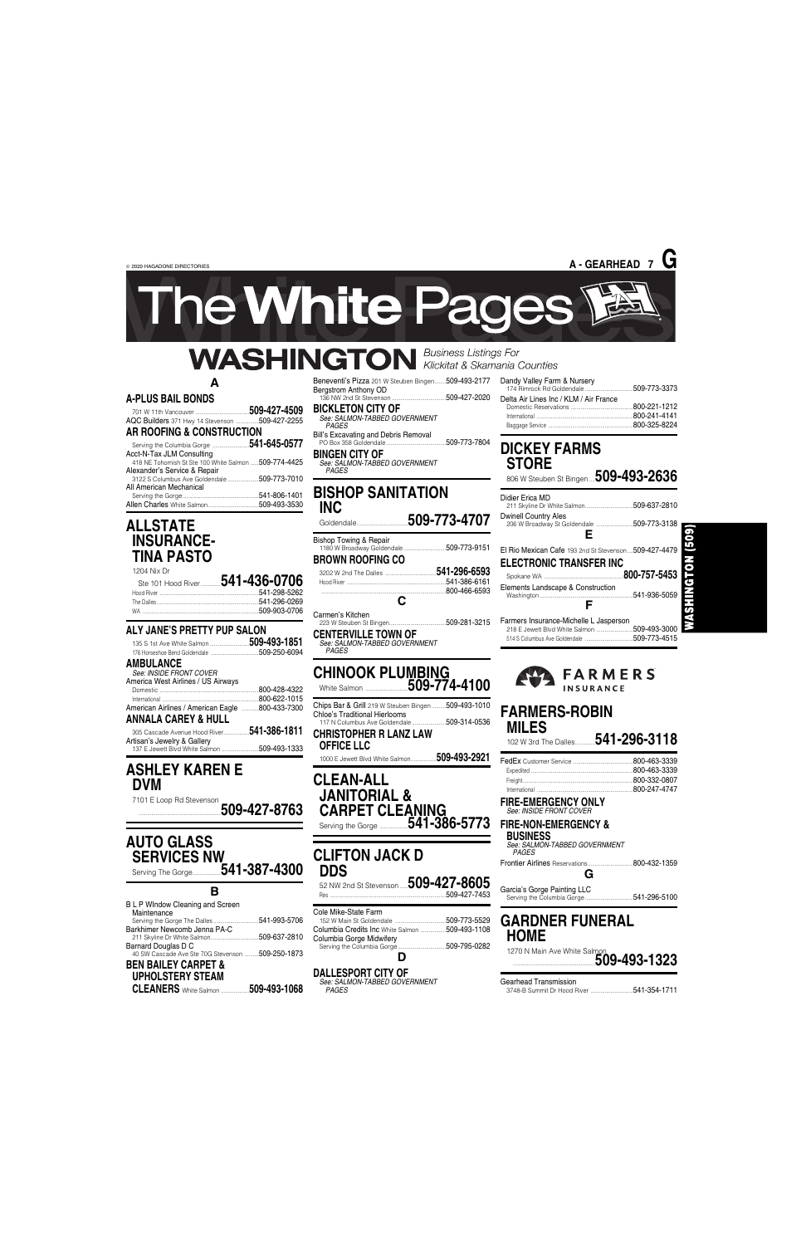© 2020 HAGADONE DIRECTORIES

**A**

#### **A-PLUS BAIL BONDS**

#### 701 W 11th Vancouver .... AQC Builders 371 Hwy 14 Stevenson ................509-427-2255 **AR ROOFING & CONSTRUCTION**

| AN NUUFING & GUNSTNUGTIUN                             |  |
|-------------------------------------------------------|--|
| Serving the Columbia Gorge 541-645-0577               |  |
| Acct-N-Tax JLM Consulting                             |  |
| 418 NE Tohomish St Ste 100 White Salmon  509-774-4425 |  |
| Alexander's Service & Repair                          |  |
|                                                       |  |
| All American Mechanical                               |  |
|                                                       |  |
|                                                       |  |

## **ALLSTATE INSURANCE-TINA PASTO**

| Ste 101 Hood River <b>541-436-0706</b> |
|----------------------------------------|
|                                        |
|                                        |
|                                        |
|                                        |

136 NW 2nd St Stevenson ......................................509-427-2020 **BICKLETON CITY OF** 

| ALY JANE'S PRETTY PUP SALON                     |              |
|-------------------------------------------------|--------------|
| 135 S 1st Ave White Salmon 509-493-1851         |              |
|                                                 |              |
| AMBULANCE<br>See: INSIDE FRONT COVER            |              |
| America West Airlines / US Airways              |              |
|                                                 | 800-428-4322 |
|                                                 | 800-622-1015 |
| American Airlines / American Eagle 800-433-7300 |              |
| <b>ANNALA CAREY &amp; HULL</b>                  |              |
| 305 Cascade Avenue Hood River                   | 541-386-1811 |
| Artisan's Jewelry & Gallery                     |              |
| 137 E Jewett Blvd White Salmon                  | 509-493-1333 |

# **ASHLEY KAREN E DVM**

7101 E Loop Rd Stevenson ..........................................................**509-427-8763** **CLEAN-ALL JANITORIAL & CARPET CLEANING** Serving the Gorge ....................**541-386-5773** 

## **AUTO GLASS SERVICES NW** Serving The Gorge....................**541-387-4300**

52 NW 2nd St Stevenson......**509-427-8605** ..509-427-7453

**B**

B L P WIndow Cleaning and Screen Maintenance

#### Beneventi's Pizza 201 W Steuben Bingen........509-493-2177 Bergstrom Anthony OD

*See: SALMON-TABBED GOVERNMENT PAGES* Bill's Excavating and Debris Removal PO Box 358 Goldendale ..........................................509-773-7804

**BINGEN CITY OF**

*See: SALMON-TABBED GOVERNMENT PAGES*

#### **BISHOP SANITATION INC** Goldendale....................................**509-773-4707**

| <b>Bishop Towing &amp; Repair</b><br><b>BROWN ROOFING CO</b> |                                              |
|--------------------------------------------------------------|----------------------------------------------|
| C                                                            | 541-296-6593<br>541-386-6161<br>800-466-6593 |
| Carmen's Kitchen                                             | 509-281-3215                                 |

**CENTERVILLE TOWN OF** *See: SALMON-TABBED GOVERNMENT PAGES*

### **CHINOOK PLUMBING** White Salmon ..............................**509-774-4100**

Chips Bar & Grill 219 W Steuben Bingen ..........509-493-1010 Chloe's Traditional Hierlooms

117 N Columbus Ave Goldendale ........................509-314-0536 **CHRISTOPHER R LANZ LAW**

#### **OFFICE LLC**

1000 E Jewett Blvd White Salmon..................**509-493-2921**

### **CLIFTON JACK D DDS**

Cole Mike-State Farm

| .509-773-5529<br>Columbia Credits Inc White Salmon<br>.509-493-1108<br>Barkhimer Newcomb Jenna PA-C<br>Columbia Gorge Midwifery<br>Barnard Douglas D C<br>.509-795-0282<br>Serving the Columbia Gorge<br>40 SW Cascade Ave Ste 70G Stevenson  509-250-1873<br><b>BEN BAILEY CARPET &amp;</b> | <b>GARDNER FUNERAL</b><br><b>HOME</b><br>1270 N Main Ave White Salmon<br>509-493-1323 |                              |
|----------------------------------------------------------------------------------------------------------------------------------------------------------------------------------------------------------------------------------------------------------------------------------------------|---------------------------------------------------------------------------------------|------------------------------|
| <b>UPHOLSTERY STEAM</b>                                                                                                                                                                                                                                                                      | <b>DALLESPORT CITY OF</b>                                                             | <b>Gearhead Transmission</b> |
| 509-493-1068                                                                                                                                                                                                                                                                                 | See: SALMON-TABBED GOVERNMENT                                                         | .541-354-1711                |
| <b>CLEANERS</b> White Salmon                                                                                                                                                                                                                                                                 | PAGES                                                                                 | 3748-B Summit Dr Hood River  |

| Dandy Valley Farm & Nursery            | 509-773-3373                                 |
|----------------------------------------|----------------------------------------------|
| Delta Air Lines Inc / KLM / Air France | 800-221-1212<br>800-241-4141<br>800-325-8224 |

# **DICKEY FARMS STORE**

806 W Steuben St Bingen ....**509-493-2636**

| Didier Erica MD                                                                 | .509-637-2810 |
|---------------------------------------------------------------------------------|---------------|
| <b>Dwinell Country Ales</b>                                                     |               |
| E                                                                               |               |
| El Rio Mexican Cafe 193 2nd St Stevenson509-427-4479<br>ELECTRONIC TRANSFER INC |               |
|                                                                                 |               |

509

**GTON** 

 $\frac{1}{2}$ 

Spokane WA ........................................................**800-757-5453** Elements Landscape & Construction 541-936-5059 **F**

Farmers Insurance-Michelle L Jasperson 218 E Jewett Blvd White Salmon ..........................509-493-3000 514 S Columbus Ave Goldendale ..................................509-773-4515



### **FARMERS-ROBIN MILES**

102 W 3rd The Dalles..............**541-296-3118**

| 800-463-3339 |
|--------------|
| 800-463-3339 |
| 800-332-0807 |
| 800-247-4747 |

**FIRE-EMERGENCY ONLY** *See: INSIDE FRONT COVER*

# **FIRE-NON-EMERGENCY &**

**BUSINESS** *See: SALMON-TABBED GOVERNMENT*

*PAGES*

Frontier Airlines Reservations................................800-432-1359 **G**

Garcia's Gorge Painting LLC Serving the Columbia Gorge..................................541-296-5100



ne White Pages

# **WASHINGTON** *Business Listings For*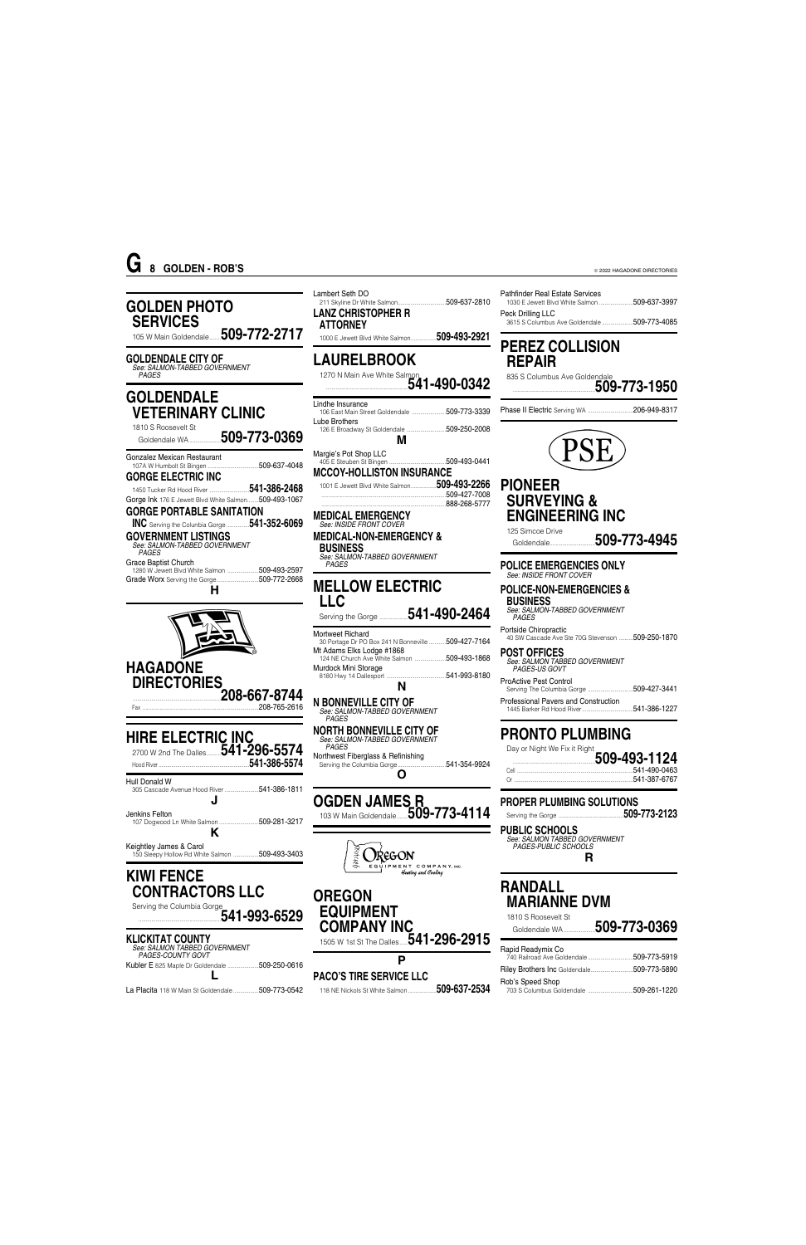© 2022 HAGADONE DIRECTORIES

**KIWI FENCE**

**CONTRACTORS LLC**

*PAGES* Northwest Fiberglass & Refinishing Serving the Columbia Gorge..................................541-354-9924 **O OGDEN JAMES R** 103 W Main Goldendale........**509-773-4114** ž

**M**

........................................................................................509-427-7008 ........................................................................................888-268-5777

#### **GOLDEN PHOTO SERVICES** 105 W Main Goldendale........**509-772-2717 GOLDENDALE CITY OF** *See: SALMON-TABBED GOVERNMENT PAGES* **GOLDENDALE VETERINARY CLINIC** 1810 S Roosevelt St Goldendale WA......................**509-773-0369** Gonzalez Mexican Restaurant 107A W Humbolt St Bingen ....................................509-637-4048 **GORGE ELECTRIC INC** 1450 Tucker Rd Hood River ............................**541-386-2468** Gorge Ink 176 E Jewett Blvd White Salmon........509-493-1067 **GORGE PORTABLE SANITATION INC** Serving the Colunbia Gorge ................**541-352-6069 GOVERNMENT LISTINGS** *See: SALMON-TABBED GOVERNMENT PAGES* Grace Baptist Church 1280 W Jewett Blvd White Salmon ......................509-493-2597 Grade Worx Serving the Gorge..............................509-772-2668 **H HAGADONE DIRECTORIES** ..............................................................**208-667-8744** Fax ..................................................................................208-765-2616 **HIRE ELECTRIC INC** 2700 W 2nd The Dalles..........**541-296-5574** Hood River ................................................................**541-386-5574** Hull Donald W 305 Cascade Avenue Hood River ........................541-386-1811 **J** Jenkins Felton 107 Dogwood Ln White Salmon ............................509-281-3217 **K** Keightley James & Carol 150 Sleepy Hollow Rd White Salmon ..................509-493-3403 Lambert Seth DO 211 Skyline Dr White Salmon..................................509-637-2810 **LANZ CHRISTOPHER R ATTORNEY** 1000 E Jewett Blvd White Salmon..................**509-493-2921 LAURELBROOK** 1270 N Main Ave White Salmon ..........................................................**541-490-0342** Lindhe Insurance 106 East Main Street Goldendale ........................509-773-3339 Lube Brothers 126 E Broadway St Goldendale ............................509-250-2008 Margie's Pot Shop LLC 405 E Steuben St Bingen ........................................509-493-0441 **MCCOY-HOLLISTON INSURANCE** 1001 E Jewett Blvd White Salmon..................**509-493-2266 MEDICAL EMERGENCY** *See: INSIDE FRONT COVER* **MEDICAL-NON-EMERGENCY & BUSINESS G 8 GOLDEN - ROB'S**

*See: SALMON-TABBED GOVERNMENT PAGES* **MELLOW ELECTRIC LLC**

Serving the Gorge ....................**541-490-2464**

Mortweet Richard 30 Portage Dr PO Box 241 N Bonneville ............509-427-7164 Mt Adams Elks Lodge #1868 124 NE Church Ave White Salmon ......................509-493-1868 Murdock Mini Storage

#### 8180 Hwy 14 Dallesport ..........................................541-993-8180 **N**

**N BONNEVILLE CITY OF** *See: SALMON-TABBED GOVERNMENT*

*PAGES*

**NORTH BONNEVILLE CITY OF** *See: SALMON-TABBED GOVERNMENT*

**OREGON**



 $\mathbf{r}$ 

| Serving the Columbia Gorge<br>$1541 - 993 - 6529$                                    | <b>EQUIPMENT</b><br><b>COMPANY INC</b>                               | $M$ $\cap$ li $\cap$ liite $\cup$ v ivi<br>1810 S Roosevelt St<br>509-773-0369<br>Goldendale WA |
|--------------------------------------------------------------------------------------|----------------------------------------------------------------------|-------------------------------------------------------------------------------------------------|
| <b>KLICKITAT COUNTY</b><br>See: SALMON TABBED GOVERNMENT<br><b>PAGES-COUNTY GOVT</b> | 1505 W 1st St The Dalles $\mathbf{\bar{5}41\text{-}296\text{-}2915}$ | Rapid Readymix Co<br>.509-773-5919<br>740 Railroad Ave Goldendale                               |
| 509-250-0616<br>Kubler E 825 Maple Dr Goldendale.                                    | <b>PACO'S TIRE SERVICE LLC</b>                                       | Riley Brothers Inc Goldendale<br>.509-773-5890<br>Rob's Speed Shop                              |
| La Placita 118 W Main St Goldendale.<br>.509-773-0542                                | 509-637-2534<br>118 NE Nickols St White Salmon                       | .509-261-1220<br>703 S Columbus Goldendale                                                      |

Pathfinder Real Estate Services

1030 E Jewett Blvd White Salmon ........................509-637-3997

Peck Drilling LLC

3615 S Columbus Ave Goldendale ......................509-773-4085

**PEREZ COLLISION**

835 S Columbus Ave Goldendale

**REPAIR**

..........................................................**509-773-1950**

Phase II Electric Serving WA ................................206-949-8317

## **PIONEER SURVEYING & ENGINEERING INC**

125 Simcoe Drive Goldendale................................**509-773-4945**

**POLICE EMERGENCIES ONLY** *See: INSIDE FRONT COVER*

#### **POLICE-NON-EMERGENCIES & BUSINESS**

*See: SALMON-TABBED GOVERNMENT PAGES*

Portside Chiropractic 40 SW Cascade Ave Ste 70G Stevenson ..........509-250-1870

**POST OFFICES** *See: SALMON TABBED GOVERNMENT PAGES-US GOVT* ProActive Pest Control

Serving The Columbia Gorge ................................509-427-3441 Professional Pavers and Construction 1445 Barker Rd Hood River....................................541-386-1227

# **PRONTO PLUMBING**

Day or Night We Fix it Right

- ..........................................................**509-493-1124** .541-490-0463
- Or ....................................................................................541-387-6767

**PROPER PLUMBING SOLUTIONS**

Serving the Gorge ..............................................**509-773-2123**

**PUBLIC SCHOOLS**

*See: SALMON TABBED GOVERNMENT*

*PAGES-PUBLIC SCHOOLS*

**R**

**RANDALL MARIANNE DVM**